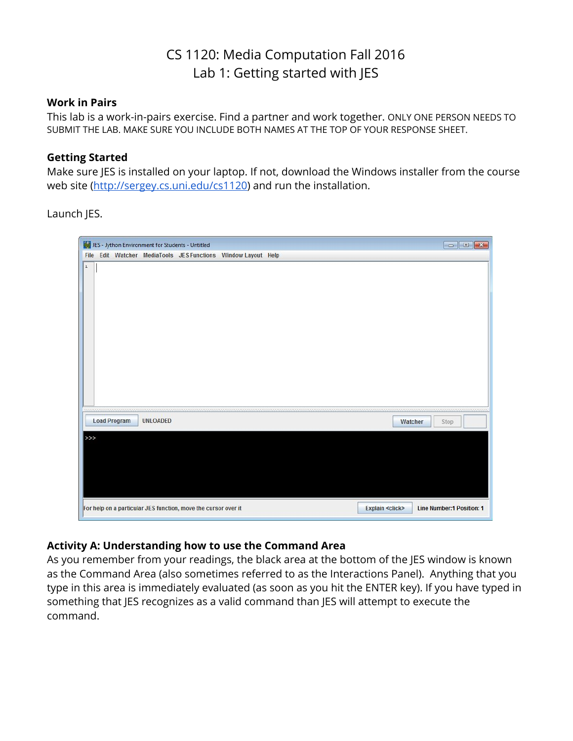## CS 1120: Media Computation Fall 2016 Lab 1: Getting started with JES

#### **Work in Pairs**

This lab is a work-in-pairs exercise. Find a partner and work together. ONLY ONE PERSON NEEDS TO SUBMIT THE LAB. MAKE SURE YOU INCLUDE BOTH NAMES AT THE TOP OF YOUR RESPONSE SHEET.

#### **Getting Started**

Make sure JES is installed on your laptop. If not, download the Windows installer from the course web site ([http://sergey.cs.uni.edu/cs1120\)](http://sergey.cs.uni.edu/cs1120) and run the installation.

Launch JES.



#### **Activity A: Understanding how to use the Command Area**

As you remember from your readings, the black area at the bottom of the JES window is known as the Command Area (also sometimes referred to as the Interactions Panel). Anything that you type in this area is immediately evaluated (as soon as you hit the ENTER key). If you have typed in something that JES recognizes as a valid command than JES will attempt to execute the command.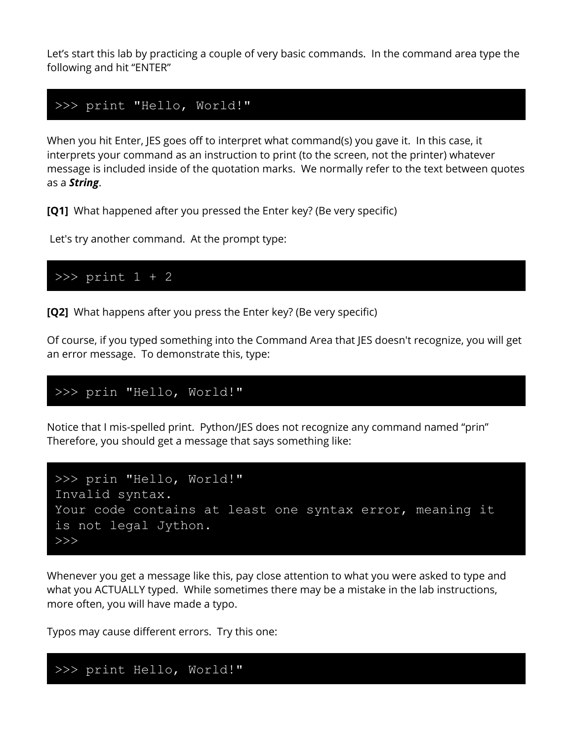Let's start this lab by practicing a couple of very basic commands. In the command area type the following and hit "ENTER"

## >>> print "Hello, World!"

When you hit Enter, JES goes off to interpret what command(s) you gave it. In this case, it interprets your command as an instruction to print (to the screen, not the printer) whatever message is included inside of the quotation marks. We normally refer to the text between quotes as a *String*.

**[Q1]**  What happened after you pressed the Enter key? (Be very specific)

Let's try another command. At the prompt type:

## >>> print 1 + 2

**[Q2]** What happens after you press the Enter key? (Be very specific)

Of course, if you typed something into the Command Area that JES doesn't recognize, you will get an error message. To demonstrate this, type:

## >>> prin "Hello, World!"

Notice that I mis-spelled print. Python/JES does not recognize any command named "prin" Therefore, you should get a message that says something like:



Whenever you get a message like this, pay close attention to what you were asked to type and what you ACTUALLY typed. While sometimes there may be a mistake in the lab instructions, more often, you will have made a typo.

Typos may cause different errors. Try this one:

# >>> print Hello, World!"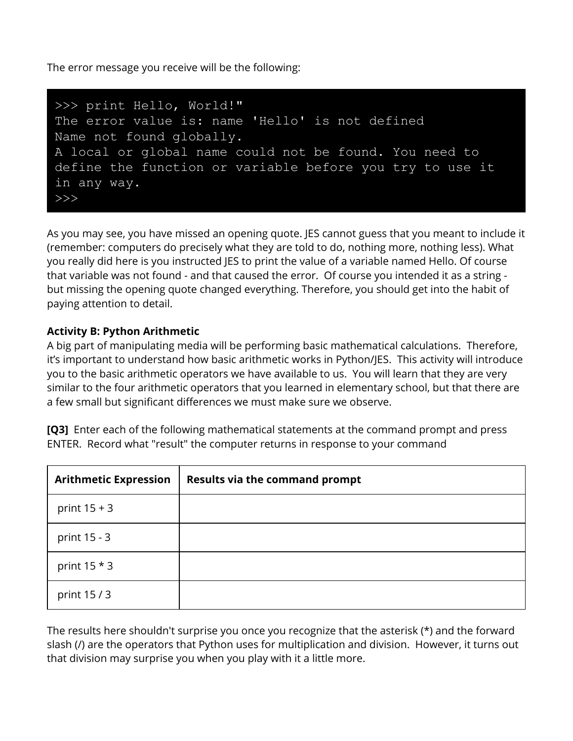The error message you receive will be the following:



As you may see, you have missed an opening quote. JES cannot guess that you meant to include it (remember: computers do precisely what they are told to do, nothing more, nothing less). What you really did here is you instructed JES to print the value of a variable named Hello. Of course that variable was not found - and that caused the error. Of course you intended it as a string but missing the opening quote changed everything. Therefore, you should get into the habit of paying attention to detail.

## **Activity B: Python Arithmetic**

A big part of manipulating media will be performing basic mathematical calculations. Therefore, it's important to understand how basic arithmetic works in Python/JES. This activity will introduce you to the basic arithmetic operators we have available to us. You will learn that they are very similar to the four arithmetic operators that you learned in elementary school, but that there are a few small but significant differences we must make sure we observe.

**[Q3]** Enter each of the following mathematical statements at the command prompt and press ENTER. Record what "result" the computer returns in response to your command

| <b>Arithmetic Expression</b> | <b>Results via the command prompt</b> |
|------------------------------|---------------------------------------|
| print $15 + 3$               |                                       |
| print 15 - 3                 |                                       |
| print $15 * 3$               |                                       |
| print 15/3                   |                                       |

The results here shouldn't surprise you once you recognize that the asterisk (\*) and the forward slash (/) are the operators that Python uses for multiplication and division. However, it turns out that division may surprise you when you play with it a little more.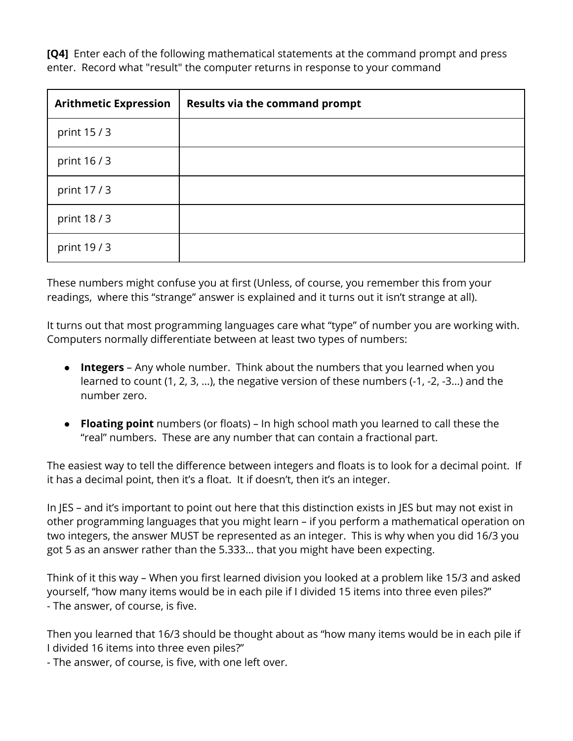**[Q4]**  Enter each of the following mathematical statements at the command prompt and press enter. Record what "result" the computer returns in response to your command

| <b>Arithmetic Expression</b> | <b>Results via the command prompt</b> |
|------------------------------|---------------------------------------|
| print 15 / 3                 |                                       |
| print 16/3                   |                                       |
| print 17/3                   |                                       |
| print 18/3                   |                                       |
| print 19/3                   |                                       |

These numbers might confuse you at first (Unless, of course, you remember this from your readings, where this "strange" answer is explained and it turns out it isn't strange at all).

It turns out that most programming languages care what "type" of number you are working with. Computers normally differentiate between at least two types of numbers:

- **Integers**  Any whole number. Think about the numbers that you learned when you learned to count (1, 2, 3, …), the negative version of these numbers (-1, -2, -3…) and the number zero.
- **Floating point** numbers (or floats) In high school math you learned to call these the "real" numbers. These are any number that can contain a fractional part.

The easiest way to tell the difference between integers and floats is to look for a decimal point. If it has a decimal point, then it's a float. It if doesn't, then it's an integer.

In JES – and it's important to point out here that this distinction exists in JES but may not exist in other programming languages that you might learn – if you perform a mathematical operation on two integers, the answer MUST be represented as an integer. This is why when you did 16/3 you got 5 as an answer rather than the 5.333… that you might have been expecting.

Think of it this way – When you first learned division you looked at a problem like 15/3 and asked yourself, "how many items would be in each pile if I divided 15 items into three even piles?" - The answer, of course, is five.

Then you learned that 16/3 should be thought about as "how many items would be in each pile if I divided 16 items into three even piles?"

- The answer, of course, is five, with one left over.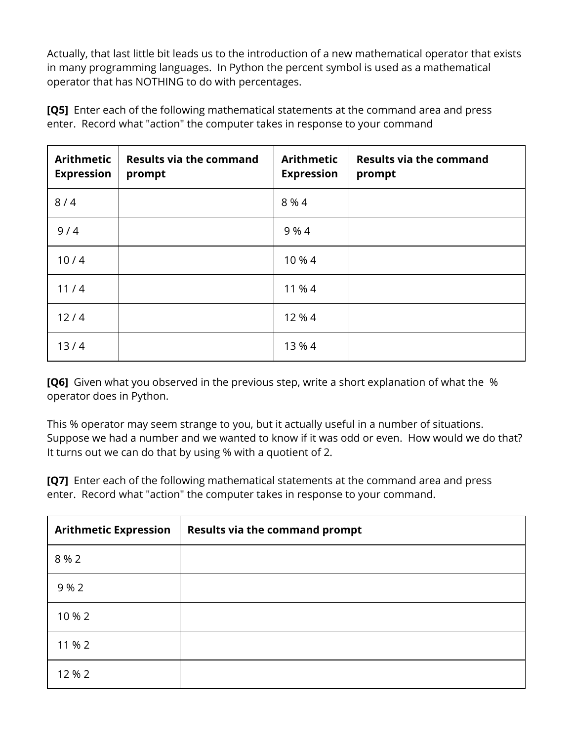Actually, that last little bit leads us to the introduction of a new mathematical operator that exists in many programming languages. In Python the percent symbol is used as a mathematical operator that has NOTHING to do with percentages.

| <b>Arithmetic</b><br><b>Expression</b> | <b>Results via the command</b><br>prompt | <b>Arithmetic</b><br><b>Expression</b> | <b>Results via the command</b><br>prompt |
|----------------------------------------|------------------------------------------|----------------------------------------|------------------------------------------|
| 8/4                                    |                                          | 8 % 4                                  |                                          |
| 9/4                                    |                                          | 9 % 4                                  |                                          |
| 10/4                                   |                                          | 10 % 4                                 |                                          |
| 11/4                                   |                                          | 11 % 4                                 |                                          |
| 12/4                                   |                                          | 12 % 4                                 |                                          |
| 13/4                                   |                                          | 13 % 4                                 |                                          |

**[Q5]** Enter each of the following mathematical statements at the command area and press enter. Record what "action" the computer takes in response to your command

**[Q6]** Given what you observed in the previous step, write a short explanation of what the % operator does in Python.

This % operator may seem strange to you, but it actually useful in a number of situations. Suppose we had a number and we wanted to know if it was odd or even. How would we do that? It turns out we can do that by using % with a quotient of 2.

**[Q7]**  Enter each of the following mathematical statements at the command area and press enter. Record what "action" the computer takes in response to your command.

| <b>Arithmetic Expression</b> | <b>Results via the command prompt</b> |  |
|------------------------------|---------------------------------------|--|
| 8 % 2                        |                                       |  |
| 9 % 2                        |                                       |  |
| 10 % 2                       |                                       |  |
| 11 % 2                       |                                       |  |
| 12 % 2                       |                                       |  |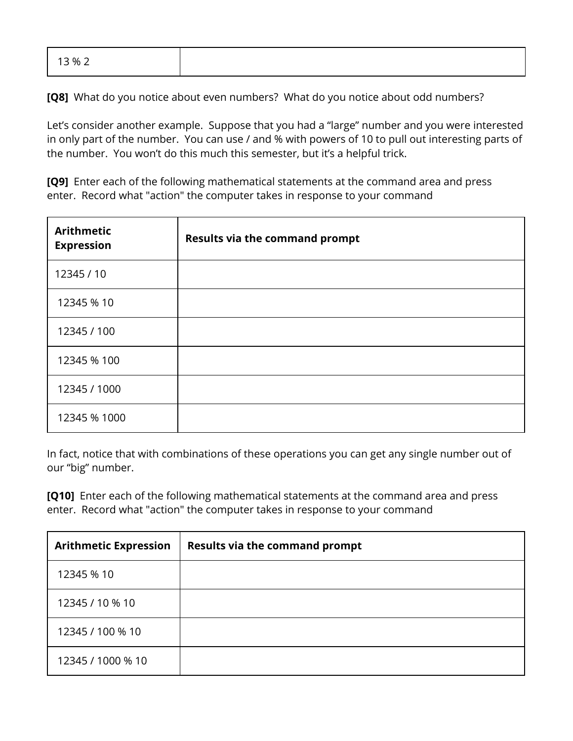| 13 % 2 |  |  |  |
|--------|--|--|--|
|--------|--|--|--|

**[Q8]** What do you notice about even numbers? What do you notice about odd numbers?

Let's consider another example. Suppose that you had a "large" number and you were interested in only part of the number. You can use / and % with powers of 10 to pull out interesting parts of the number. You won't do this much this semester, but it's a helpful trick.

**[Q9]** Enter each of the following mathematical statements at the command area and press enter. Record what "action" the computer takes in response to your command

| <b>Arithmetic</b><br><b>Expression</b> | <b>Results via the command prompt</b> |
|----------------------------------------|---------------------------------------|
| 12345 / 10                             |                                       |
| 12345 % 10                             |                                       |
| 12345 / 100                            |                                       |
| 12345 % 100                            |                                       |
| 12345 / 1000                           |                                       |
| 12345 % 1000                           |                                       |

In fact, notice that with combinations of these operations you can get any single number out of our "big" number.

**[Q10]** Enter each of the following mathematical statements at the command area and press enter. Record what "action" the computer takes in response to your command

| <b>Arithmetic Expression</b> | <b>Results via the command prompt</b> |
|------------------------------|---------------------------------------|
| 12345 % 10                   |                                       |
| 12345 / 10 % 10              |                                       |
| 12345 / 100 % 10             |                                       |
| 12345 / 1000 % 10            |                                       |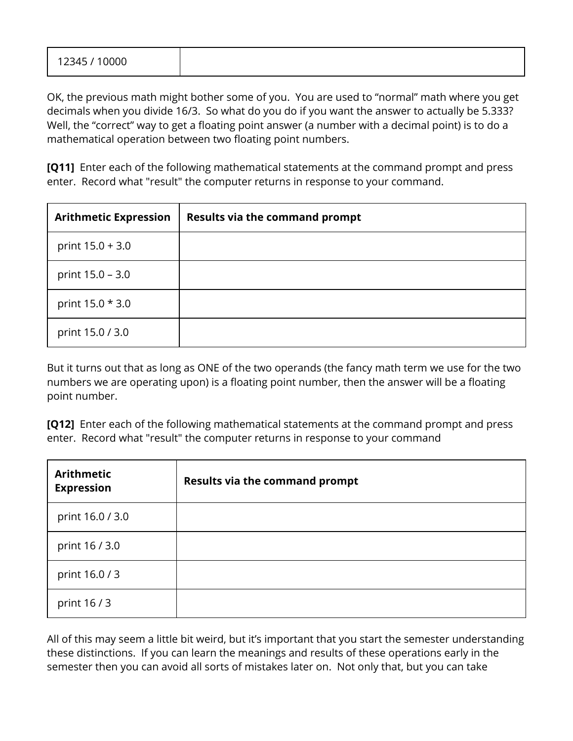OK, the previous math might bother some of you. You are used to "normal" math where you get decimals when you divide 16/3. So what do you do if you want the answer to actually be 5.333? Well, the "correct" way to get a floating point answer (a number with a decimal point) is to do a mathematical operation between two floating point numbers.

**[Q11]** Enter each of the following mathematical statements at the command prompt and press enter. Record what "result" the computer returns in response to your command.

| <b>Arithmetic Expression</b> | <b>Results via the command prompt</b> |
|------------------------------|---------------------------------------|
| print $15.0 + 3.0$           |                                       |
| print $15.0 - 3.0$           |                                       |
| print 15.0 * 3.0             |                                       |
| print 15.0 / 3.0             |                                       |

But it turns out that as long as ONE of the two operands (the fancy math term we use for the two numbers we are operating upon) is a floating point number, then the answer will be a floating point number.

**[Q12]** Enter each of the following mathematical statements at the command prompt and press enter. Record what "result" the computer returns in response to your command

| <b>Arithmetic</b><br><b>Expression</b> | <b>Results via the command prompt</b> |  |
|----------------------------------------|---------------------------------------|--|
| print 16.0 / 3.0                       |                                       |  |
| print 16 / 3.0                         |                                       |  |
| print 16.0 / 3                         |                                       |  |
| print 16/3                             |                                       |  |

All of this may seem a little bit weird, but it's important that you start the semester understanding these distinctions. If you can learn the meanings and results of these operations early in the semester then you can avoid all sorts of mistakes later on. Not only that, but you can take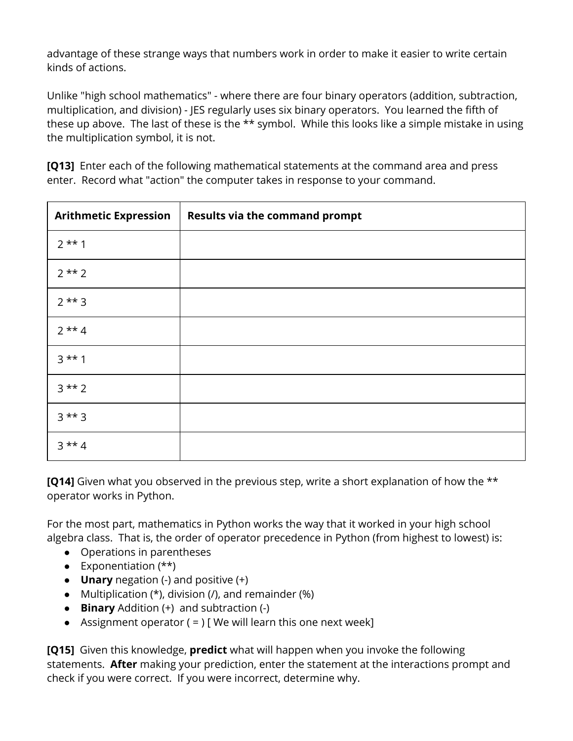advantage of these strange ways that numbers work in order to make it easier to write certain kinds of actions.

Unlike "high school mathematics" - where there are four binary operators (addition, subtraction, multiplication, and division) - JES regularly uses six binary operators. You learned the fifth of these up above. The last of these is the \*\* symbol. While this looks like a simple mistake in using the multiplication symbol, it is not.

**[Q13]** Enter each of the following mathematical statements at the command area and press enter. Record what "action" the computer takes in response to your command.

| <b>Arithmetic Expression</b> | <b>Results via the command prompt</b> |
|------------------------------|---------------------------------------|
| $2**1$                       |                                       |
| $2**2$                       |                                       |
| $2**3$                       |                                       |
| $2**4$                       |                                       |
| $3***1$                      |                                       |
| $3***2$                      |                                       |
| $3***3$                      |                                       |
| $3**4$                       |                                       |

**[Q14]** Given what you observed in the previous step, write a short explanation of how the \*\* operator works in Python.

For the most part, mathematics in Python works the way that it worked in your high school algebra class. That is, the order of operator precedence in Python (from highest to lowest) is:

- Operations in parentheses
- Exponentiation (\*\*)
- **Unary** negation (-) and positive (+)
- Multiplication  $(*)$ , division  $($ , and remainder  $(% )$
- **Binary** Addition (+) and subtraction (-)
- Assignment operator  $( = )$  [We will learn this one next week]

**[Q15]**  Given this knowledge, **predict** what will happen when you invoke the following statements. **After** making your prediction, enter the statement at the interactions prompt and check if you were correct. If you were incorrect, determine why.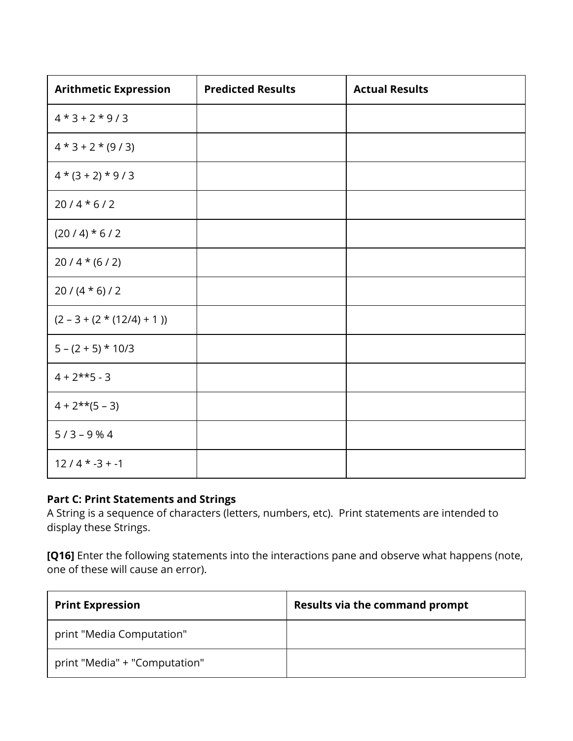| <b>Arithmetic Expression</b> | <b>Predicted Results</b> | <b>Actual Results</b> |
|------------------------------|--------------------------|-----------------------|
| $4*3+2*9/3$                  |                          |                       |
| $4*3+2*(9/3)$                |                          |                       |
| $4*(3+2)*9/3$                |                          |                       |
| $20/4*6/2$                   |                          |                       |
| $(20/4)*(6/2)$               |                          |                       |
| $20/4*(6/2)$                 |                          |                       |
| $20/(4 * 6)/2$               |                          |                       |
| $(2 - 3 + (2 * (12/4) + 1))$ |                          |                       |
| $5 - (2 + 5) * 10/3$         |                          |                       |
| $4 + 2**5 - 3$               |                          |                       |
| $4 + 2** (5 - 3)$            |                          |                       |
| $5/3 - 9%4$                  |                          |                       |
| $12/4$ * -3 + -1             |                          |                       |

### **Part C: Print Statements and Strings**

A String is a sequence of characters (letters, numbers, etc). Print statements are intended to display these Strings.

**[Q16]** Enter the following statements into the interactions pane and observe what happens (note, one of these will cause an error).

| <b>Print Expression</b>       | <b>Results via the command prompt</b> |
|-------------------------------|---------------------------------------|
| print "Media Computation"     |                                       |
| print "Media" + "Computation" |                                       |